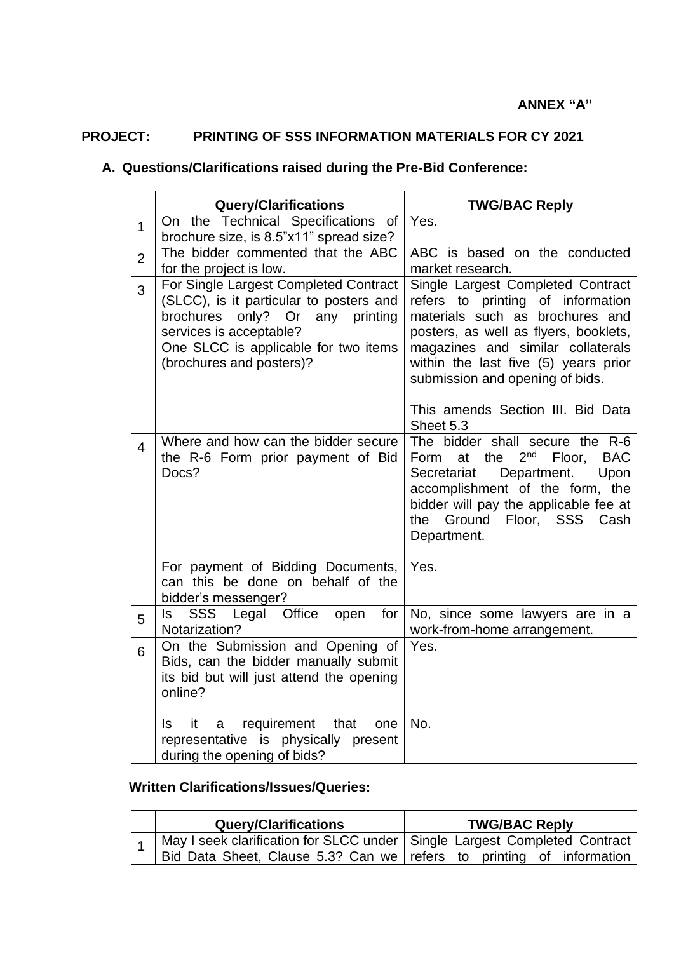## **PROJECT: PRINTING OF SSS INFORMATION MATERIALS FOR CY 2021**

## **A. Questions/Clarifications raised during the Pre-Bid Conference:**

|                | <b>Query/Clarifications</b>                                                                                                                                                                                              | <b>TWG/BAC Reply</b>                                                                                                                                                                                                                                                                                                 |
|----------------|--------------------------------------------------------------------------------------------------------------------------------------------------------------------------------------------------------------------------|----------------------------------------------------------------------------------------------------------------------------------------------------------------------------------------------------------------------------------------------------------------------------------------------------------------------|
| $\mathbf{1}$   | On the Technical Specifications of<br>brochure size, is 8.5"x11" spread size?                                                                                                                                            | Yes.                                                                                                                                                                                                                                                                                                                 |
| $\overline{2}$ | The bidder commented that the ABC<br>for the project is low.                                                                                                                                                             | ABC is based on the conducted<br>market research.                                                                                                                                                                                                                                                                    |
| 3              | For Single Largest Completed Contract<br>(SLCC), is it particular to posters and<br>only? Or<br>brochures<br>any printing<br>services is acceptable?<br>One SLCC is applicable for two items<br>(brochures and posters)? | Single Largest Completed Contract<br>refers to printing of information<br>materials such as brochures and<br>posters, as well as flyers, booklets,<br>magazines and similar collaterals<br>within the last five (5) years prior<br>submission and opening of bids.<br>This amends Section III. Bid Data<br>Sheet 5.3 |
| $\overline{4}$ | Where and how can the bidder secure<br>the R-6 Form prior payment of Bid<br>Docs?                                                                                                                                        | The bidder shall secure the R-6<br>2 <sup>nd</sup><br>at the<br>Floor,<br><b>BAC</b><br>Form<br>Secretariat<br>Department.<br>Upon<br>accomplishment of the form, the<br>bidder will pay the applicable fee at<br>the Ground Floor, SSS Cash<br>Department.                                                          |
|                | For payment of Bidding Documents,<br>can this be done on behalf of the<br>bidder's messenger?                                                                                                                            | Yes.                                                                                                                                                                                                                                                                                                                 |
| 5              | <b>SSS</b><br>Legal Office<br>open<br>for<br>ls l<br>Notarization?                                                                                                                                                       | No, since some lawyers are in a<br>work-from-home arrangement.                                                                                                                                                                                                                                                       |
| 6              | On the Submission and Opening of<br>Bids, can the bidder manually submit<br>its bid but will just attend the opening<br>online?                                                                                          | Yes.                                                                                                                                                                                                                                                                                                                 |
|                | requirement<br>ls.<br>it<br>that<br>a<br>one<br>representative is physically present<br>during the opening of bids?                                                                                                      | No.                                                                                                                                                                                                                                                                                                                  |

## **Written Clarifications/Issues/Queries:**

|  | <b>Query/Clarifications</b>                                                     | <b>TWG/BAC Reply</b> |
|--|---------------------------------------------------------------------------------|----------------------|
|  | 1   May I seek clarification for SLCC under   Single Largest Completed Contract |                      |
|  | Bid Data Sheet, Clause 5.3? Can we refers to printing of information            |                      |